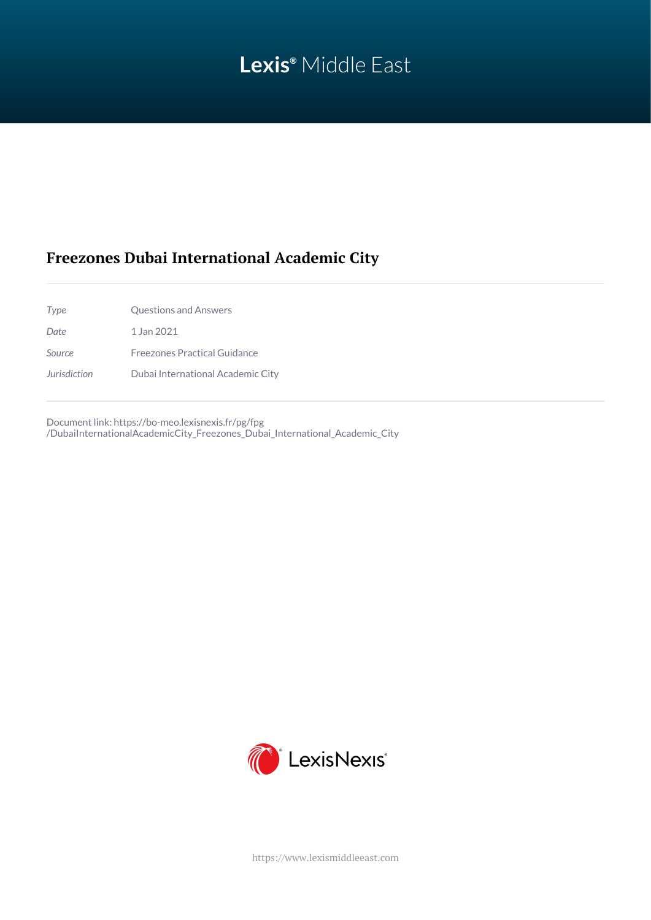# **Lexis®** Middle East

# **Freezones Dubai International Academic City**

| Type         | <b>Questions and Answers</b>      |
|--------------|-----------------------------------|
| Date         | 1 Jan 2021                        |
| Source       | Freezones Practical Guidance      |
| Jurisdiction | Dubai International Academic City |

Document link: [https://bo-meo.lexisnexis.fr/pg/fpg](https://bo-meo.lexisnexis.fr/pg/fpg/DubaiInternationalAcademicCity_Freezones_Dubai_International_Academic_City) [/DubaiInternationalAcademicCity\\_Freezones\\_Dubai\\_International\\_Academic\\_City](https://bo-meo.lexisnexis.fr/pg/fpg/DubaiInternationalAcademicCity_Freezones_Dubai_International_Academic_City)



<https://www.lexismiddleeast.com>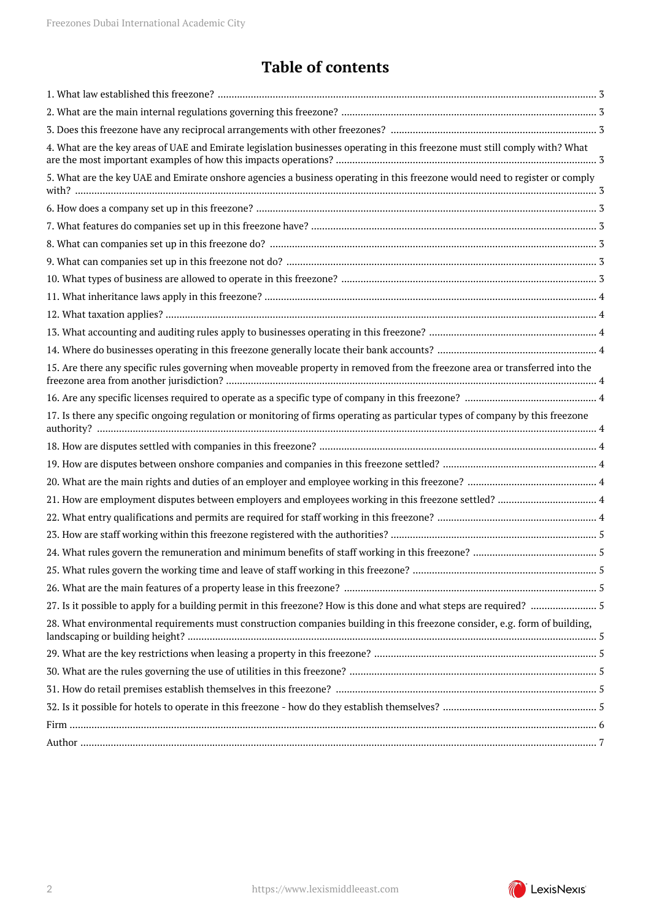# **Table of contents**

| 4. What are the key areas of UAE and Emirate legislation businesses operating in this freezone must still comply with? What   |  |
|-------------------------------------------------------------------------------------------------------------------------------|--|
| 5. What are the key UAE and Emirate onshore agencies a business operating in this freezone would need to register or comply   |  |
|                                                                                                                               |  |
|                                                                                                                               |  |
|                                                                                                                               |  |
|                                                                                                                               |  |
|                                                                                                                               |  |
|                                                                                                                               |  |
|                                                                                                                               |  |
|                                                                                                                               |  |
|                                                                                                                               |  |
| 15. Are there any specific rules governing when moveable property in removed from the freezone area or transferred into the   |  |
|                                                                                                                               |  |
| 17. Is there any specific ongoing regulation or monitoring of firms operating as particular types of company by this freezone |  |
|                                                                                                                               |  |
|                                                                                                                               |  |
|                                                                                                                               |  |
|                                                                                                                               |  |
|                                                                                                                               |  |
|                                                                                                                               |  |
|                                                                                                                               |  |
|                                                                                                                               |  |
|                                                                                                                               |  |
|                                                                                                                               |  |
| 28. What environmental requirements must construction companies building in this freezone consider, e.g. form of building,    |  |
|                                                                                                                               |  |
|                                                                                                                               |  |
|                                                                                                                               |  |
|                                                                                                                               |  |
|                                                                                                                               |  |
|                                                                                                                               |  |

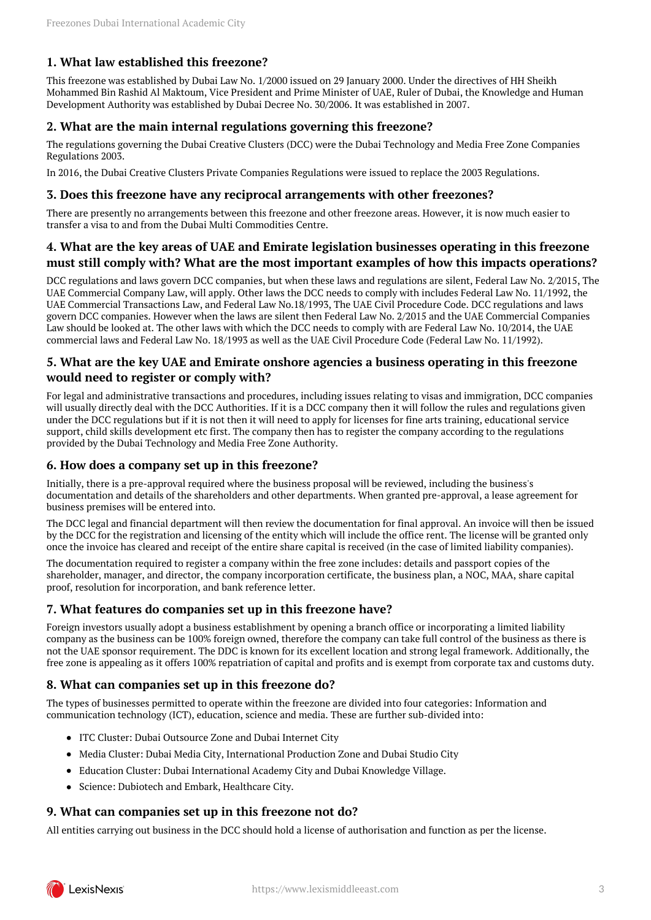# <span id="page-2-0"></span>**1. What law established this freezone?**

This freezone was established by Dubai Law No. 1/2000 issued on 29 January 2000. Under the directives of HH Sheikh Mohammed Bin Rashid Al Maktoum, Vice President and Prime Minister of UAE, Ruler of Dubai, the Knowledge and Human Development Authority was established by Dubai Decree No. 30/2006. It was established in 2007.

## <span id="page-2-1"></span>**2. What are the main internal regulations governing this freezone?**

The regulations governing the Dubai Creative Clusters (DCC) were the Dubai Technology and Media Free Zone Companies Regulations 2003.

In 2016, the Dubai Creative Clusters Private Companies Regulations were issued to replace the 2003 Regulations.

#### <span id="page-2-2"></span>**3. Does this freezone have any reciprocal arrangements with other freezones?**

There are presently no arrangements between this freezone and other freezone areas. However, it is now much easier to transfer a visa to and from the Dubai Multi Commodities Centre.

## <span id="page-2-3"></span>**4. What are the key areas of UAE and Emirate legislation businesses operating in this freezone must still comply with? What are the most important examples of how this impacts operations?**

DCC regulations and laws govern DCC companies, but when these laws and regulations are silent, Federal Law No. 2/2015, The UAE Commercial Company Law, will apply. Other laws the DCC needs to comply with includes Federal Law No. 11/1992, the UAE Commercial Transactions Law, and Federal Law No.18/1993, The UAE Civil Procedure Code. DCC regulations and laws govern DCC companies. However when the laws are silent then Federal Law No. 2/2015 and the UAE Commercial Companies Law should be looked at. The other laws with which the DCC needs to comply with are Federal Law No. 10/2014, the UAE commercial laws and Federal Law No. 18/1993 as well as the UAE Civil Procedure Code (Federal Law No. 11/1992).

## <span id="page-2-4"></span>**5. What are the key UAE and Emirate onshore agencies a business operating in this freezone would need to register or comply with?**

For legal and administrative transactions and procedures, including issues relating to visas and immigration, DCC companies will usually directly deal with the DCC Authorities. If it is a DCC company then it will follow the rules and regulations given under the DCC regulations but if it is not then it will need to apply for licenses for fine arts training, educational service support, child skills development etc first. The company then has to register the company according to the regulations provided by the Dubai Technology and Media Free Zone Authority.

#### <span id="page-2-5"></span>**6. How does a company set up in this freezone?**

Initially, there is a pre-approval required where the business proposal will be reviewed, including the business's documentation and details of the shareholders and other departments. When granted pre-approval, a lease agreement for business premises will be entered into.

The DCC legal and financial department will then review the documentation for final approval. An invoice will then be issued by the DCC for the registration and licensing of the entity which will include the office rent. The license will be granted only once the invoice has cleared and receipt of the entire share capital is received (in the case of limited liability companies).

The documentation required to register a company within the free zone includes: details and passport copies of the shareholder, manager, and director, the company incorporation certificate, the business plan, a NOC, MAA, share capital proof, resolution for incorporation, and bank reference letter.

#### <span id="page-2-6"></span>**7. What features do companies set up in this freezone have?**

Foreign investors usually adopt a business establishment by opening a branch office or incorporating a limited liability company as the business can be 100% foreign owned, therefore the company can take full control of the business as there is not the UAE sponsor requirement. The DDC is known for its excellent location and strong legal framework. Additionally, the free zone is appealing as it offers 100% repatriation of capital and profits and is exempt from corporate tax and customs duty.

#### <span id="page-2-7"></span>**8. What can companies set up in this freezone do?**

The types of businesses permitted to operate within the freezone are divided into four categories: Information and communication technology (ICT), education, science and media. These are further sub-divided into:

- ITC Cluster: Dubai Outsource Zone and Dubai Internet City
- Media Cluster: Dubai Media City, International Production Zone and Dubai Studio City
- Education Cluster: Dubai International Academy City and Dubai Knowledge Village.
- Science: Dubiotech and Embark, Healthcare City.

#### <span id="page-2-8"></span>**9. What can companies set up in this freezone not do?**

<span id="page-2-9"></span>All entities carrying out business in the DCC should hold a license of authorisation and function as per the license.

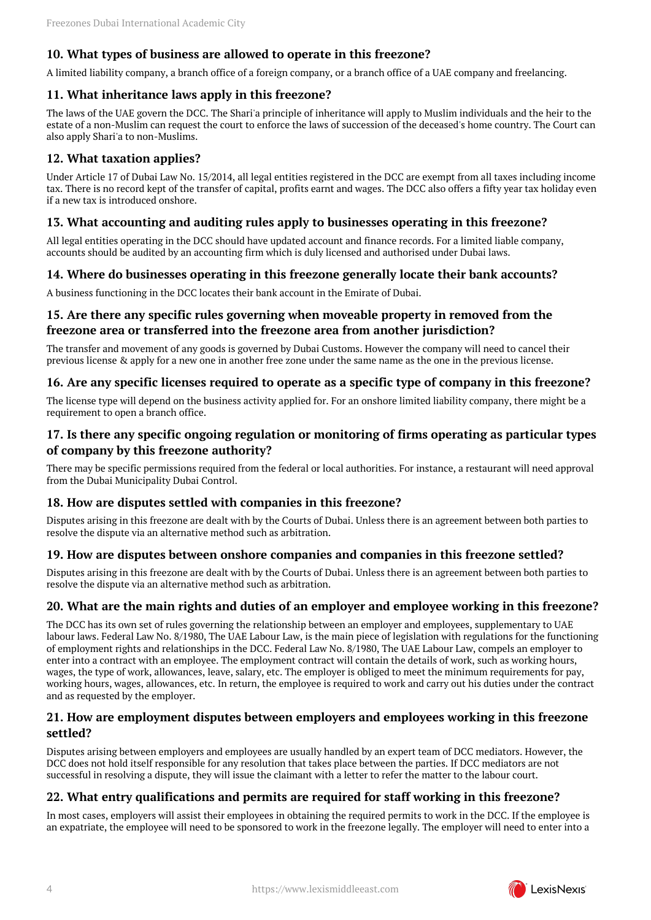#### **10. What types of business are allowed to operate in this freezone?**

A limited liability company, a branch office of a foreign company, or a branch office of a UAE company and freelancing.

#### <span id="page-3-0"></span>**11. What inheritance laws apply in this freezone?**

The laws of the UAE govern the DCC. The Shari'a principle of inheritance will apply to Muslim individuals and the heir to the estate of a non-Muslim can request the court to enforce the laws of succession of the deceased's home country. The Court can also apply Shari'a to non-Muslims.

#### <span id="page-3-1"></span>**12. What taxation applies?**

Under Article 17 of Dubai Law No. 15/2014, all legal entities registered in the DCC are exempt from all taxes including income tax. There is no record kept of the transfer of capital, profits earnt and wages. The DCC also offers a fifty year tax holiday even if a new tax is introduced onshore.

#### <span id="page-3-2"></span>**13. What accounting and auditing rules apply to businesses operating in this freezone?**

All legal entities operating in the DCC should have updated account and finance records. For a limited liable company, accounts should be audited by an accounting firm which is duly licensed and authorised under Dubai laws.

#### <span id="page-3-3"></span>**14. Where do businesses operating in this freezone generally locate their bank accounts?**

A business functioning in the DCC locates their bank account in the Emirate of Dubai.

# <span id="page-3-4"></span>**15. Are there any specific rules governing when moveable property in removed from the freezone area or transferred into the freezone area from another jurisdiction?**

The transfer and movement of any goods is governed by Dubai Customs. However the company will need to cancel their previous license & apply for a new one in another free zone under the same name as the one in the previous license.

#### <span id="page-3-5"></span>**16. Are any specific licenses required to operate as a specific type of company in this freezone?**

The license type will depend on the business activity applied for. For an onshore limited liability company, there might be a requirement to open a branch office.

#### <span id="page-3-6"></span>**17. Is there any specific ongoing regulation or monitoring of firms operating as particular types of company by this freezone authority?**

There may be specific permissions required from the federal or local authorities. For instance, a restaurant will need approval from the Dubai Municipality Dubai Control.

#### <span id="page-3-7"></span>**18. How are disputes settled with companies in this freezone?**

Disputes arising in this freezone are dealt with by the Courts of Dubai. Unless there is an agreement between both parties to resolve the dispute via an alternative method such as arbitration.

#### <span id="page-3-8"></span>**19. How are disputes between onshore companies and companies in this freezone settled?**

Disputes arising in this freezone are dealt with by the Courts of Dubai. Unless there is an agreement between both parties to resolve the dispute via an alternative method such as arbitration.

#### <span id="page-3-9"></span>**20. What are the main rights and duties of an employer and employee working in this freezone?**

The DCC has its own set of rules governing the relationship between an employer and employees, supplementary to UAE labour laws. Federal Law No. 8/1980, The UAE Labour Law, is the main piece of legislation with regulations for the functioning of employment rights and relationships in the DCC. Federal Law No. 8/1980, The UAE Labour Law, compels an employer to enter into a contract with an employee. The employment contract will contain the details of work, such as working hours, wages, the type of work, allowances, leave, salary, etc. The employer is obliged to meet the minimum requirements for pay, working hours, wages, allowances, etc. In return, the employee is required to work and carry out his duties under the contract and as requested by the employer.

#### <span id="page-3-10"></span>**21. How are employment disputes between employers and employees working in this freezone settled?**

Disputes arising between employers and employees are usually handled by an expert team of DCC mediators. However, the DCC does not hold itself responsible for any resolution that takes place between the parties. If DCC mediators are not successful in resolving a dispute, they will issue the claimant with a letter to refer the matter to the labour court.

#### <span id="page-3-11"></span>**22. What entry qualifications and permits are required for staff working in this freezone?**

In most cases, employers will assist their employees in obtaining the required permits to work in the DCC. If the employee is an expatriate, the employee will need to be sponsored to work in the freezone legally. The employer will need to enter into a

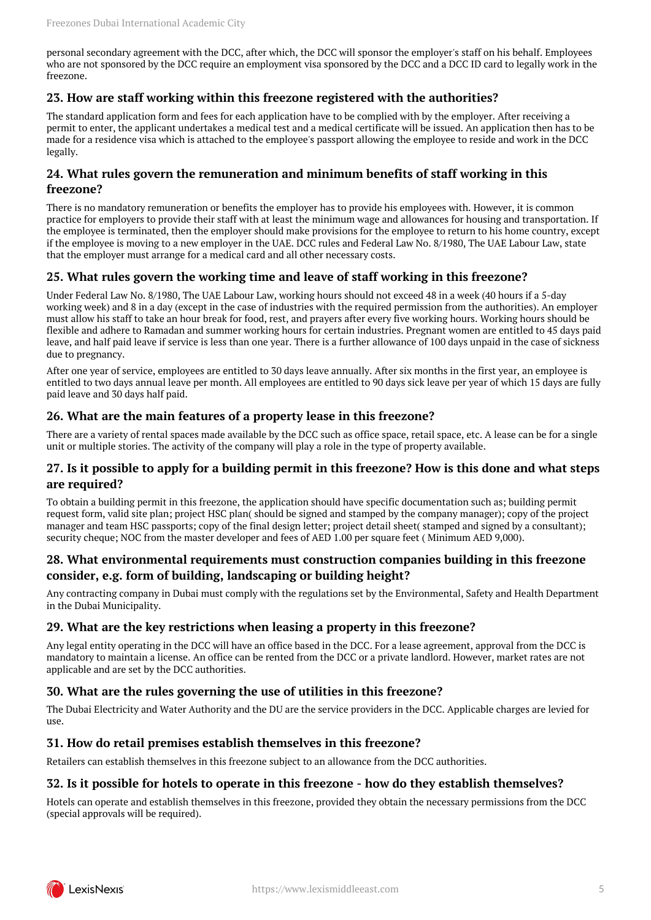personal secondary agreement with the DCC, after which, the DCC will sponsor the employer's staff on his behalf. Employees who are not sponsored by the DCC require an employment visa sponsored by the DCC and a DCC ID card to legally work in the freezone.

### <span id="page-4-0"></span>**23. How are staff working within this freezone registered with the authorities?**

The standard application form and fees for each application have to be complied with by the employer. After receiving a permit to enter, the applicant undertakes a medical test and a medical certificate will be issued. An application then has to be made for a residence visa which is attached to the employee's passport allowing the employee to reside and work in the DCC legally.

#### <span id="page-4-1"></span>**24. What rules govern the remuneration and minimum benefits of staff working in this freezone?**

There is no mandatory remuneration or benefits the employer has to provide his employees with. However, it is common practice for employers to provide their staff with at least the minimum wage and allowances for housing and transportation. If the employee is terminated, then the employer should make provisions for the employee to return to his home country, except if the employee is moving to a new employer in the UAE. DCC rules and Federal Law No. 8/1980, The UAE Labour Law, state that the employer must arrange for a medical card and all other necessary costs.

## <span id="page-4-2"></span>**25. What rules govern the working time and leave of staff working in this freezone?**

Under Federal Law No. 8/1980, The UAE Labour Law, working hours should not exceed 48 in a week (40 hours if a 5-day working week) and 8 in a day (except in the case of industries with the required permission from the authorities). An employer must allow his staff to take an hour break for food, rest, and prayers after every five working hours. Working hours should be flexible and adhere to Ramadan and summer working hours for certain industries. Pregnant women are entitled to 45 days paid leave, and half paid leave if service is less than one year. There is a further allowance of 100 days unpaid in the case of sickness due to pregnancy.

After one year of service, employees are entitled to 30 days leave annually. After six months in the first year, an employee is entitled to two days annual leave per month. All employees are entitled to 90 days sick leave per year of which 15 days are fully paid leave and 30 days half paid.

#### <span id="page-4-3"></span>**26. What are the main features of a property lease in this freezone?**

There are a variety of rental spaces made available by the DCC such as office space, retail space, etc. A lease can be for a single unit or multiple stories. The activity of the company will play a role in the type of property available.

#### <span id="page-4-4"></span>**27. Is it possible to apply for a building permit in this freezone? How is this done and what steps are required?**

To obtain a building permit in this freezone, the application should have specific documentation such as; building permit request form, valid site plan; project HSC plan( should be signed and stamped by the company manager); copy of the project manager and team HSC passports; copy of the final design letter; project detail sheet( stamped and signed by a consultant); security cheque; NOC from the master developer and fees of AED 1.00 per square feet ( Minimum AED 9,000).

#### <span id="page-4-5"></span>**28. What environmental requirements must construction companies building in this freezone consider, e.g. form of building, landscaping or building height?**

Any contracting company in Dubai must comply with the regulations set by the Environmental, Safety and Health Department in the Dubai Municipality.

#### <span id="page-4-6"></span>**29. What are the key restrictions when leasing a property in this freezone?**

Any legal entity operating in the DCC will have an office based in the DCC. For a lease agreement, approval from the DCC is mandatory to maintain a license. An office can be rented from the DCC or a private landlord. However, market rates are not applicable and are set by the DCC authorities.

#### <span id="page-4-7"></span>**30. What are the rules governing the use of utilities in this freezone?**

The Dubai Electricity and Water Authority and the DU are the service providers in the DCC. Applicable charges are levied for use.

#### <span id="page-4-8"></span>**31. How do retail premises establish themselves in this freezone?**

Retailers can establish themselves in this freezone subject to an allowance from the DCC authorities.

#### <span id="page-4-9"></span>**32. Is it possible for hotels to operate in this freezone - how do they establish themselves?**

Hotels can operate and establish themselves in this freezone, provided they obtain the necessary permissions from the DCC (special approvals will be required).

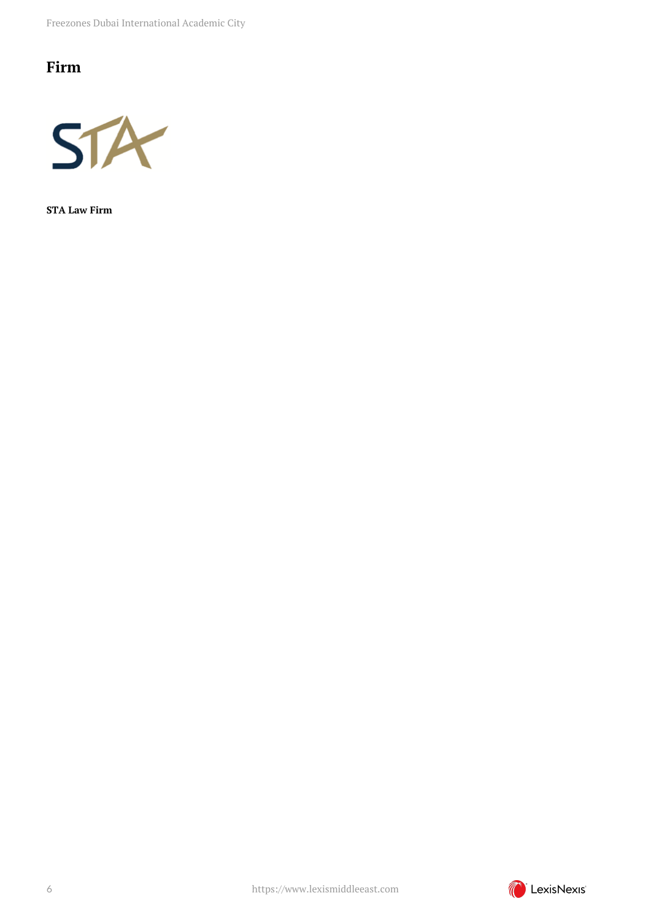# <span id="page-5-0"></span>**Firm**



**STA Law Firm**